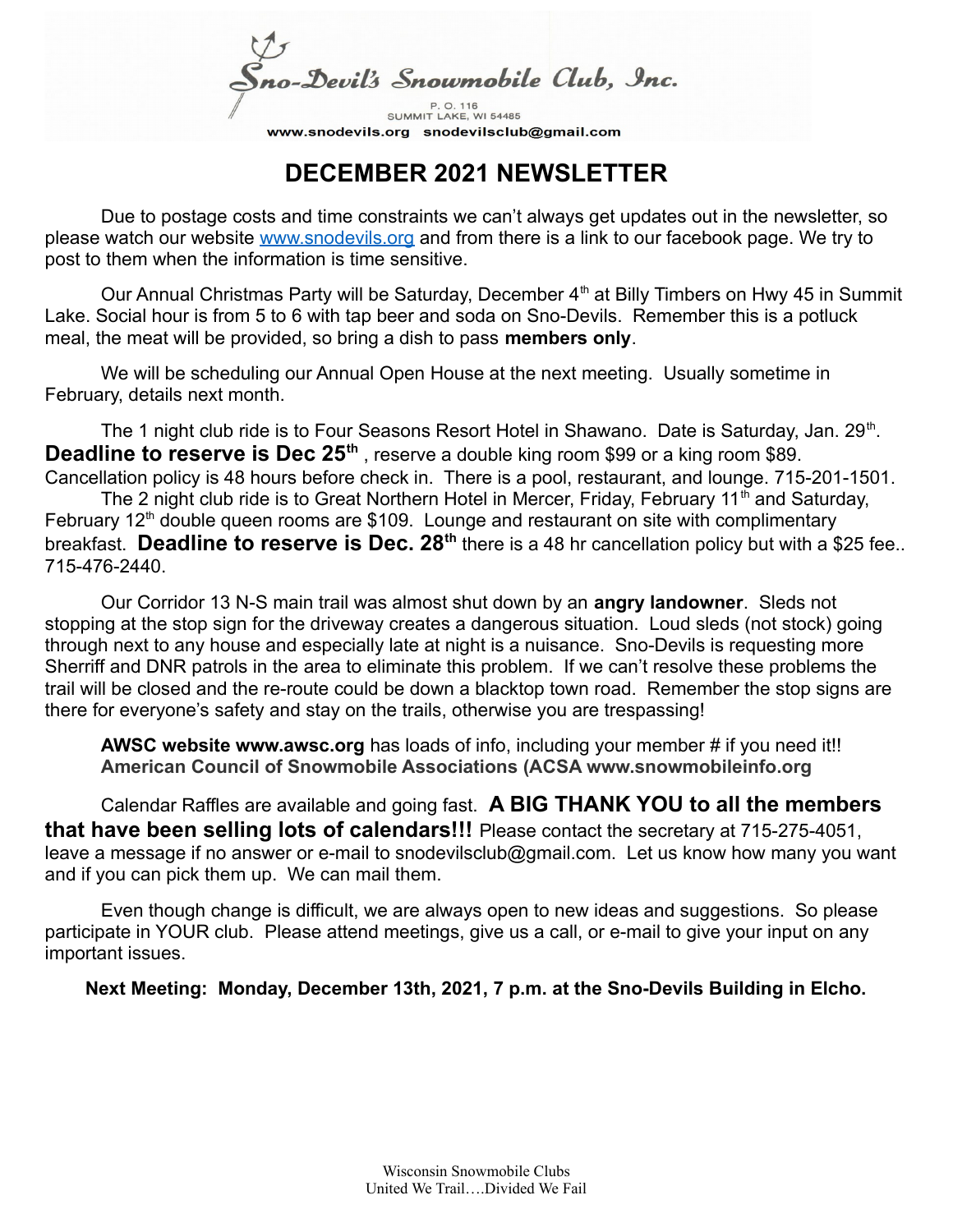no-Devil's Snowmobile Club, Inc.

SUMMIT LAKE, WI 54485 www.snodevils.org snodevilsclub@gmail.com

## **DECEMBER 2021 NEWSLETTER**

Due to postage costs and time constraints we can't always get updates out in the newsletter, so please watch our website [www.snodevils.org](http://www.snodevils.org/) and from there is a link to our facebook page. We try to post to them when the information is time sensitive.

Our Annual Christmas Party will be Saturday, December 4<sup>th</sup> at Billy Timbers on Hwy 45 in Summit Lake. Social hour is from 5 to 6 with tap beer and soda on Sno-Devils. Remember this is a potluck meal, the meat will be provided, so bring a dish to pass **members only**.

We will be scheduling our Annual Open House at the next meeting. Usually sometime in February, details next month.

The 1 night club ride is to Four Seasons Resort Hotel in Shawano. Date is Saturday, Jan. 29<sup>th</sup>. **Deadline to reserve is Dec 25<sup>th</sup>**, reserve a double king room \$99 or a king room \$89. Cancellation policy is 48 hours before check in. There is a pool, restaurant, and lounge. 715-201-1501.

The 2 night club ride is to Great Northern Hotel in Mercer, Friday, February 11<sup>th</sup> and Saturday, February  $12<sup>th</sup>$  double queen rooms are \$109. Lounge and restaurant on site with complimentary breakfast. **Deadline to reserve is Dec. 28th** there is a 48 hr cancellation policy but with a \$25 fee.. 715-476-2440.

Our Corridor 13 N-S main trail was almost shut down by an **angry landowner**. Sleds not stopping at the stop sign for the driveway creates a dangerous situation. Loud sleds (not stock) going through next to any house and especially late at night is a nuisance. Sno-Devils is requesting more Sherriff and DNR patrols in the area to eliminate this problem. If we can't resolve these problems the trail will be closed and the re-route could be down a blacktop town road. Remember the stop signs are there for everyone's safety and stay on the trails, otherwise you are trespassing!

**AWSC website www.awsc.org** has loads of info, including your member # if you need it!! **American Council of Snowmobile Associations (ACSA www.snowmobileinfo.org**

Calendar Raffles are available and going fast. **A BIG THANK YOU to all the members that have been selling lots of calendars!!!** Please contact the secretary at 715-275-4051, leave a message if no answer or e-mail to snodevilsclub@gmail.com. Let us know how many you want and if you can pick them up. We can mail them.

Even though change is difficult, we are always open to new ideas and suggestions. So please participate in YOUR club. Please attend meetings, give us a call, or e-mail to give your input on any important issues.

**Next Meeting: Monday, December 13th, 2021, 7 p.m. at the Sno-Devils Building in Elcho.**